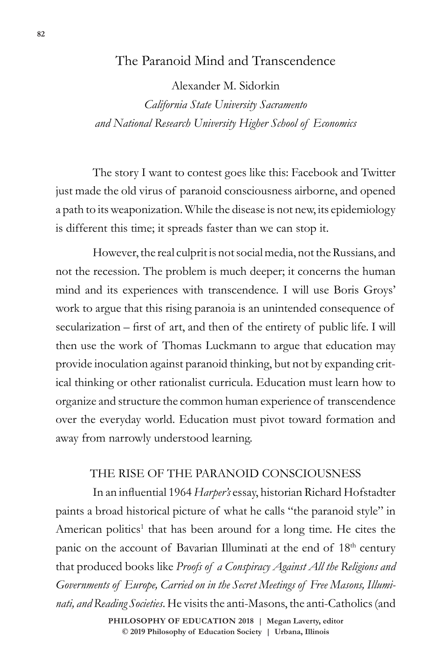# The Paranoid Mind and Transcendence

Alexander M. Sidorkin

*California State University Sacramento and National Research University Higher School of Economics*

The story I want to contest goes like this: Facebook and Twitter just made the old virus of paranoid consciousness airborne, and opened a path to its weaponization. While the disease is not new, its epidemiology is different this time; it spreads faster than we can stop it.

However, the real culprit is not social media, not the Russians, and not the recession. The problem is much deeper; it concerns the human mind and its experiences with transcendence. I will use Boris Groys' work to argue that this rising paranoia is an unintended consequence of secularization – first of art, and then of the entirety of public life. I will then use the work of Thomas Luckmann to argue that education may provide inoculation against paranoid thinking, but not by expanding critical thinking or other rationalist curricula. Education must learn how to organize and structure the common human experience of transcendence over the everyday world. Education must pivot toward formation and away from narrowly understood learning.

### THE RISE OF THE PARANOID CONSCIOUSNESS

In an influential 1964 *Harper's* essay, historian Richard Hofstadter paints a broad historical picture of what he calls "the paranoid style" in American politics<sup>1</sup> that has been around for a long time. He cites the panic on the account of Bavarian Illuminati at the end of 18<sup>th</sup> century that produced books like *Proofs of a Conspiracy Against All the Religions and Governments of Europe, Carried on in the Secret Meetings of Free Masons, Illuminati, and Reading Societies*. He visits the anti-Masons, the anti-Catholics (and

> © 2019 Philosophy of Education Society | Urbana, Illinois **PHILOSOPHY OF EDUCATION 2018 | Megan Laverty, editor**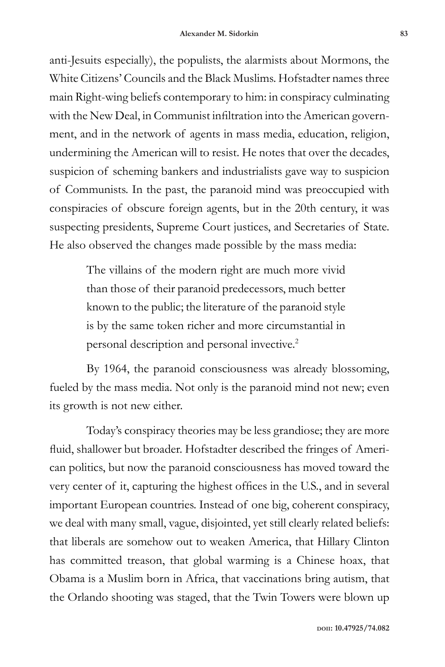anti-Jesuits especially), the populists, the alarmists about Mormons, the White Citizens' Councils and the Black Muslims. Hofstadter names three main Right-wing beliefs contemporary to him: in conspiracy culminating with the New Deal, in Communist infiltration into the American government, and in the network of agents in mass media, education, religion, undermining the American will to resist. He notes that over the decades, suspicion of scheming bankers and industrialists gave way to suspicion of Communists. In the past, the paranoid mind was preoccupied with conspiracies of obscure foreign agents, but in the 20th century, it was suspecting presidents, Supreme Court justices, and Secretaries of State. He also observed the changes made possible by the mass media:

> The villains of the modern right are much more vivid than those of their paranoid predecessors, much better known to the public; the literature of the paranoid style is by the same token richer and more circumstantial in personal description and personal invective.2

By 1964, the paranoid consciousness was already blossoming, fueled by the mass media. Not only is the paranoid mind not new; even its growth is not new either.

Today's conspiracy theories may be less grandiose; they are more fluid, shallower but broader. Hofstadter described the fringes of American politics, but now the paranoid consciousness has moved toward the very center of it, capturing the highest offices in the U.S., and in several important European countries. Instead of one big, coherent conspiracy, we deal with many small, vague, disjointed, yet still clearly related beliefs: that liberals are somehow out to weaken America, that Hillary Clinton has committed treason, that global warming is a Chinese hoax, that Obama is a Muslim born in Africa, that vaccinations bring autism, that the Orlando shooting was staged, that the Twin Towers were blown up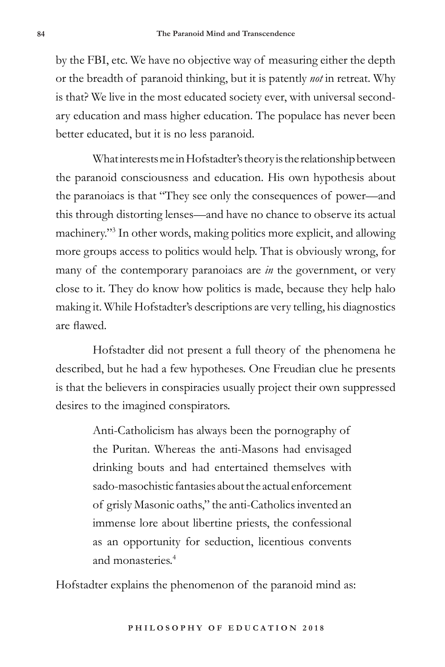by the FBI, etc. We have no objective way of measuring either the depth or the breadth of paranoid thinking, but it is patently *not* in retreat. Why is that? We live in the most educated society ever, with universal secondary education and mass higher education. The populace has never been better educated, but it is no less paranoid.

What interests me in Hofstadter's theory is the relationship between the paranoid consciousness and education. His own hypothesis about the paranoiacs is that "They see only the consequences of power—and this through distorting lenses—and have no chance to observe its actual machinery."3 In other words, making politics more explicit, and allowing more groups access to politics would help. That is obviously wrong, for many of the contemporary paranoiacs are *in* the government, or very close to it. They do know how politics is made, because they help halo making it. While Hofstadter's descriptions are very telling, his diagnostics are flawed.

Hofstadter did not present a full theory of the phenomena he described, but he had a few hypotheses. One Freudian clue he presents is that the believers in conspiracies usually project their own suppressed desires to the imagined conspirators.

> Anti-Catholicism has always been the pornography of the Puritan. Whereas the anti-Masons had envisaged drinking bouts and had entertained themselves with sado-masochistic fantasies about the actual enforcement of grisly Masonic oaths," the anti-Catholics invented an immense lore about libertine priests, the confessional as an opportunity for seduction, licentious convents and monasteries.<sup>4</sup>

Hofstadter explains the phenomenon of the paranoid mind as: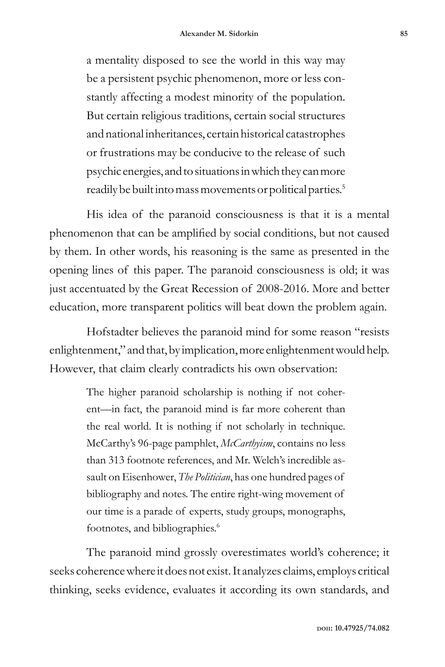a mentality disposed to see the world in this way may be a persistent psychic phenomenon, more or less constantly affecting a modest minority of the population. But certain religious traditions, certain social structures and national inheritances, certain historical catastrophes or frustrations may be conducive to the release of such psychic energies, and to situations in which they can more readily be built into mass movements or political parties.<sup>5</sup>

His idea of the paranoid consciousness is that it is a mental phenomenon that can be amplified by social conditions, but not caused by them. In other words, his reasoning is the same as presented in the opening lines of this paper. The paranoid consciousness is old; it was just accentuated by the Great Recession of 2008-2016. More and better education, more transparent politics will beat down the problem again.

Hofstadter believes the paranoid mind for some reason "resists enlightenment," and that, by implication, more enlightenment would help. However, that claim clearly contradicts his own observation:

> The higher paranoid scholarship is nothing if not coherent—in fact, the paranoid mind is far more coherent than the real world. It is nothing if not scholarly in technique. McCarthy's 96-page pamphlet, *McCarthyism*, contains no less than 313 footnote references, and Mr. Welch's incredible assault on Eisenhower, *The Politician*, has one hundred pages of bibliography and notes. The entire right-wing movement of our time is a parade of experts, study groups, monographs, footnotes, and bibliographies.<sup>6</sup>

The paranoid mind grossly overestimates world's coherence; it seeks coherence where it does not exist. It analyzes claims, employs critical thinking, seeks evidence, evaluates it according its own standards, and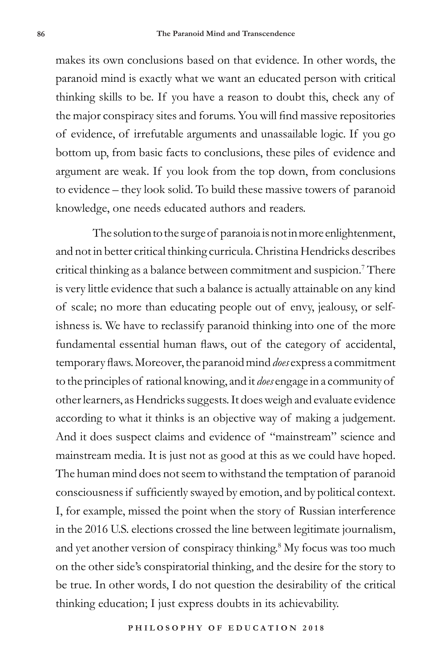makes its own conclusions based on that evidence. In other words, the paranoid mind is exactly what we want an educated person with critical thinking skills to be. If you have a reason to doubt this, check any of the major conspiracy sites and forums. You will find massive repositories of evidence, of irrefutable arguments and unassailable logic. If you go bottom up, from basic facts to conclusions, these piles of evidence and argument are weak. If you look from the top down, from conclusions to evidence – they look solid. To build these massive towers of paranoid knowledge, one needs educated authors and readers.

The solution to the surge of paranoia is not in more enlightenment, and not in better critical thinking curricula. Christina Hendricks describes critical thinking as a balance between commitment and suspicion.7 There is very little evidence that such a balance is actually attainable on any kind of scale; no more than educating people out of envy, jealousy, or selfishness is. We have to reclassify paranoid thinking into one of the more fundamental essential human flaws, out of the category of accidental, temporary flaws. Moreover, the paranoid mind *does* express a commitment to the principles of rational knowing, and it *does* engage in a community of other learners, as Hendricks suggests. It does weigh and evaluate evidence according to what it thinks is an objective way of making a judgement. And it does suspect claims and evidence of "mainstream" science and mainstream media. It is just not as good at this as we could have hoped. The human mind does not seem to withstand the temptation of paranoid consciousness if sufficiently swayed by emotion, and by political context. I, for example, missed the point when the story of Russian interference in the 2016 U.S. elections crossed the line between legitimate journalism, and yet another version of conspiracy thinking.<sup>8</sup> My focus was too much on the other side's conspiratorial thinking, and the desire for the story to be true. In other words, I do not question the desirability of the critical thinking education; I just express doubts in its achievability.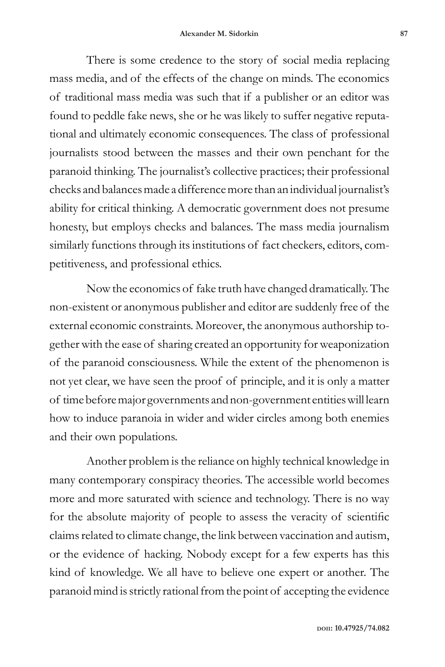There is some credence to the story of social media replacing mass media, and of the effects of the change on minds. The economics of traditional mass media was such that if a publisher or an editor was found to peddle fake news, she or he was likely to suffer negative reputational and ultimately economic consequences. The class of professional journalists stood between the masses and their own penchant for the paranoid thinking. The journalist's collective practices; their professional checks and balances made a difference more than an individual journalist's ability for critical thinking. A democratic government does not presume honesty, but employs checks and balances. The mass media journalism similarly functions through its institutions of fact checkers, editors, competitiveness, and professional ethics.

Now the economics of fake truth have changed dramatically. The non-existent or anonymous publisher and editor are suddenly free of the external economic constraints. Moreover, the anonymous authorship together with the ease of sharing created an opportunity for weaponization of the paranoid consciousness. While the extent of the phenomenon is not yet clear, we have seen the proof of principle, and it is only a matter of time before major governments and non-government entities will learn how to induce paranoia in wider and wider circles among both enemies and their own populations.

Another problem is the reliance on highly technical knowledge in many contemporary conspiracy theories. The accessible world becomes more and more saturated with science and technology. There is no way for the absolute majority of people to assess the veracity of scientific claims related to climate change, the link between vaccination and autism, or the evidence of hacking. Nobody except for a few experts has this kind of knowledge. We all have to believe one expert or another. The paranoid mind is strictly rational from the point of accepting the evidence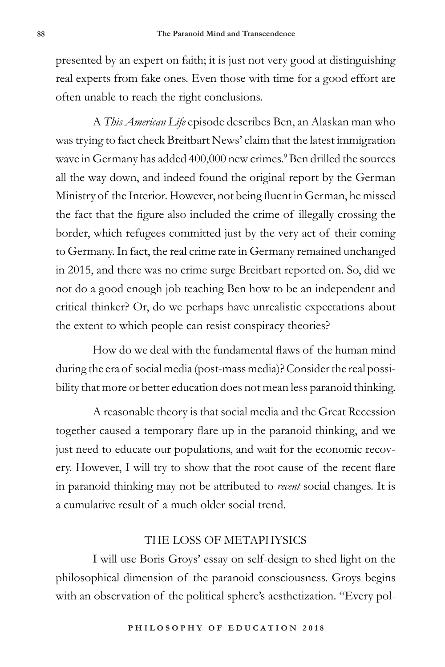presented by an expert on faith; it is just not very good at distinguishing real experts from fake ones. Even those with time for a good effort are often unable to reach the right conclusions.

A *This American Life* episode describes Ben, an Alaskan man who was trying to fact check Breitbart News' claim that the latest immigration wave in Germany has added 400,000 new crimes.<sup>9</sup> Ben drilled the sources all the way down, and indeed found the original report by the German Ministry of the Interior. However, not being fluent in German, he missed the fact that the figure also included the crime of illegally crossing the border, which refugees committed just by the very act of their coming to Germany. In fact, the real crime rate in Germany remained unchanged in 2015, and there was no crime surge Breitbart reported on. So, did we not do a good enough job teaching Ben how to be an independent and critical thinker? Or, do we perhaps have unrealistic expectations about the extent to which people can resist conspiracy theories?

How do we deal with the fundamental flaws of the human mind during the era of social media (post-mass media)? Consider the real possibility that more or better education does not mean less paranoid thinking.

A reasonable theory is that social media and the Great Recession together caused a temporary flare up in the paranoid thinking, and we just need to educate our populations, and wait for the economic recovery. However, I will try to show that the root cause of the recent flare in paranoid thinking may not be attributed to *recent* social changes. It is a cumulative result of a much older social trend.

## THE LOSS OF METAPHYSICS

I will use Boris Groys' essay on self-design to shed light on the philosophical dimension of the paranoid consciousness. Groys begins with an observation of the political sphere's aesthetization. "Every pol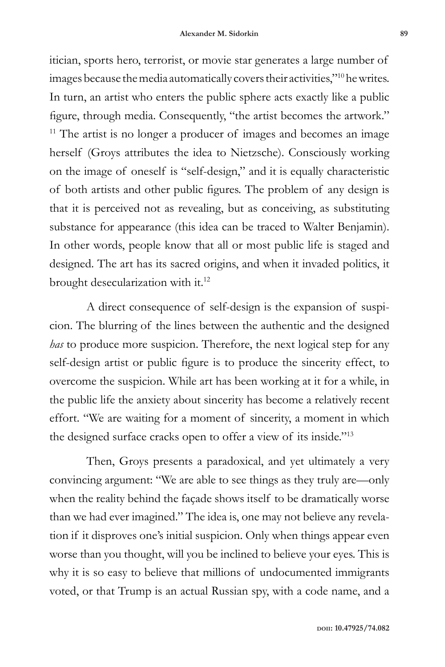itician, sports hero, terrorist, or movie star generates a large number of images because the media automatically covers their activities,"<sup>10</sup> he writes. In turn, an artist who enters the public sphere acts exactly like a public figure, through media. Consequently, "the artist becomes the artwork."  $11$ <sup>11</sup> The artist is no longer a producer of images and becomes an image herself (Groys attributes the idea to Nietzsche). Consciously working on the image of oneself is "self-design," and it is equally characteristic of both artists and other public figures. The problem of any design is that it is perceived not as revealing, but as conceiving, as substituting substance for appearance (this idea can be traced to Walter Benjamin). In other words, people know that all or most public life is staged and designed. The art has its sacred origins, and when it invaded politics, it brought desecularization with it.<sup>12</sup>

A direct consequence of self-design is the expansion of suspicion. The blurring of the lines between the authentic and the designed *has* to produce more suspicion. Therefore, the next logical step for any self-design artist or public figure is to produce the sincerity effect, to overcome the suspicion. While art has been working at it for a while, in the public life the anxiety about sincerity has become a relatively recent effort. "We are waiting for a moment of sincerity, a moment in which the designed surface cracks open to offer a view of its inside."<sup>13</sup>

Then, Groys presents a paradoxical, and yet ultimately a very convincing argument: "We are able to see things as they truly are—only when the reality behind the façade shows itself to be dramatically worse than we had ever imagined." The idea is, one may not believe any revelation if it disproves one's initial suspicion. Only when things appear even worse than you thought, will you be inclined to believe your eyes. This is why it is so easy to believe that millions of undocumented immigrants voted, or that Trump is an actual Russian spy, with a code name, and a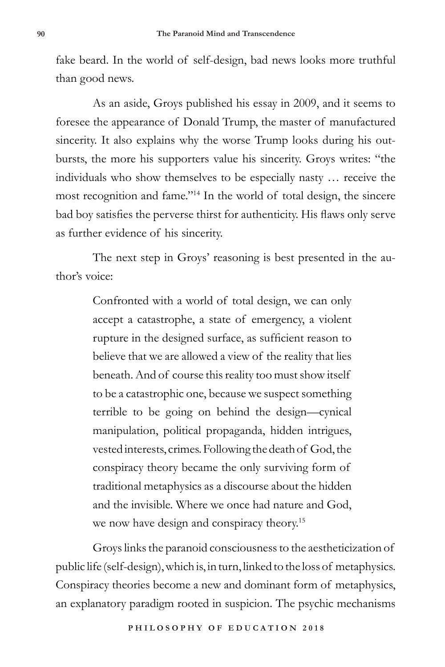fake beard. In the world of self-design, bad news looks more truthful than good news.

As an aside, Groys published his essay in 2009, and it seems to foresee the appearance of Donald Trump, the master of manufactured sincerity. It also explains why the worse Trump looks during his outbursts, the more his supporters value his sincerity. Groys writes: "the individuals who show themselves to be especially nasty … receive the most recognition and fame."<sup>14</sup> In the world of total design, the sincere bad boy satisfies the perverse thirst for authenticity. His flaws only serve as further evidence of his sincerity.

The next step in Groys' reasoning is best presented in the author's voice:

> Confronted with a world of total design, we can only accept a catastrophe, a state of emergency, a violent rupture in the designed surface, as sufficient reason to believe that we are allowed a view of the reality that lies beneath. And of course this reality too must show itself to be a catastrophic one, because we suspect something terrible to be going on behind the design—cynical manipulation, political propaganda, hidden intrigues, vested interests, crimes. Following the death of God, the conspiracy theory became the only surviving form of traditional metaphysics as a discourse about the hidden and the invisible. Where we once had nature and God, we now have design and conspiracy theory.<sup>15</sup>

Groys links the paranoid consciousness to the aestheticization of public life (self-design), which is, in turn, linked to the loss of metaphysics. Conspiracy theories become a new and dominant form of metaphysics, an explanatory paradigm rooted in suspicion. The psychic mechanisms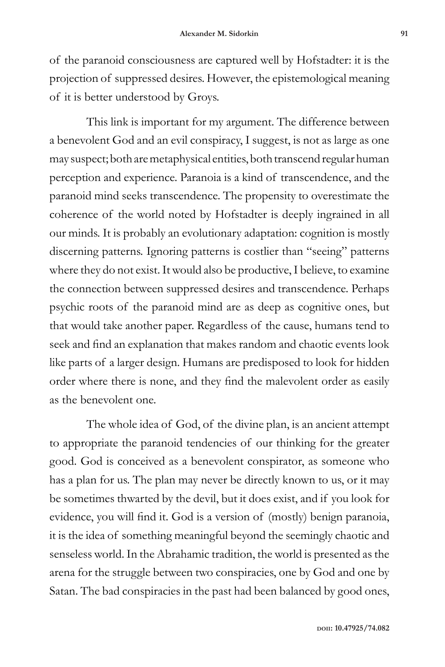of the paranoid consciousness are captured well by Hofstadter: it is the projection of suppressed desires. However, the epistemological meaning of it is better understood by Groys.

This link is important for my argument. The difference between a benevolent God and an evil conspiracy, I suggest, is not as large as one may suspect; both are metaphysical entities, both transcend regular human perception and experience. Paranoia is a kind of transcendence, and the paranoid mind seeks transcendence. The propensity to overestimate the coherence of the world noted by Hofstadter is deeply ingrained in all our minds. It is probably an evolutionary adaptation: cognition is mostly discerning patterns. Ignoring patterns is costlier than "seeing" patterns where they do not exist. It would also be productive, I believe, to examine the connection between suppressed desires and transcendence. Perhaps psychic roots of the paranoid mind are as deep as cognitive ones, but that would take another paper. Regardless of the cause, humans tend to seek and find an explanation that makes random and chaotic events look like parts of a larger design. Humans are predisposed to look for hidden order where there is none, and they find the malevolent order as easily as the benevolent one.

The whole idea of God, of the divine plan, is an ancient attempt to appropriate the paranoid tendencies of our thinking for the greater good. God is conceived as a benevolent conspirator, as someone who has a plan for us. The plan may never be directly known to us, or it may be sometimes thwarted by the devil, but it does exist, and if you look for evidence, you will find it. God is a version of (mostly) benign paranoia, it is the idea of something meaningful beyond the seemingly chaotic and senseless world. In the Abrahamic tradition, the world is presented as the arena for the struggle between two conspiracies, one by God and one by Satan. The bad conspiracies in the past had been balanced by good ones,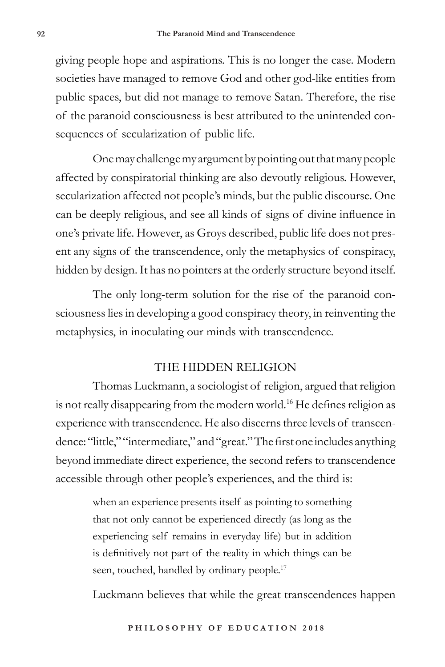giving people hope and aspirations. This is no longer the case. Modern societies have managed to remove God and other god-like entities from public spaces, but did not manage to remove Satan. Therefore, the rise of the paranoid consciousness is best attributed to the unintended consequences of secularization of public life.

One may challenge my argument by pointing out that many people affected by conspiratorial thinking are also devoutly religious. However, secularization affected not people's minds, but the public discourse. One can be deeply religious, and see all kinds of signs of divine influence in one's private life. However, as Groys described, public life does not present any signs of the transcendence, only the metaphysics of conspiracy, hidden by design. It has no pointers at the orderly structure beyond itself.

The only long-term solution for the rise of the paranoid consciousness lies in developing a good conspiracy theory, in reinventing the metaphysics, in inoculating our minds with transcendence.

#### THE HIDDEN RELIGION

Thomas Luckmann, a sociologist of religion, argued that religion is not really disappearing from the modern world.<sup>16</sup> He defines religion as experience with transcendence. He also discerns three levels of transcendence: "little," "intermediate," and "great." The first one includes anything beyond immediate direct experience, the second refers to transcendence accessible through other people's experiences, and the third is:

> when an experience presents itself as pointing to something that not only cannot be experienced directly (as long as the experiencing self remains in everyday life) but in addition is definitively not part of the reality in which things can be seen, touched, handled by ordinary people.<sup>17</sup>

Luckmann believes that while the great transcendences happen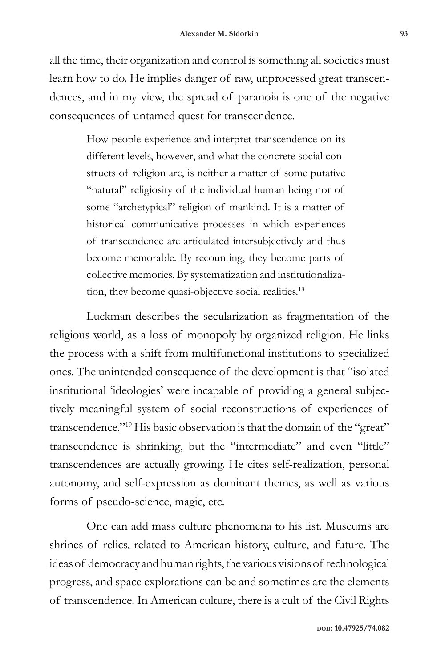all the time, their organization and control is something all societies must learn how to do. He implies danger of raw, unprocessed great transcendences, and in my view, the spread of paranoia is one of the negative consequences of untamed quest for transcendence.

> How people experience and interpret transcendence on its different levels, however, and what the concrete social constructs of religion are, is neither a matter of some putative "natural" religiosity of the individual human being nor of some "archetypical" religion of mankind. It is a matter of historical communicative processes in which experiences of transcendence are articulated intersubjectively and thus become memorable. By recounting, they become parts of collective memories. By systematization and institutionalization, they become quasi-objective social realities.<sup>18</sup>

Luckman describes the secularization as fragmentation of the religious world, as a loss of monopoly by organized religion. He links the process with a shift from multifunctional institutions to specialized ones. The unintended consequence of the development is that "isolated institutional 'ideologies' were incapable of providing a general subjectively meaningful system of social reconstructions of experiences of transcendence."<sup>19</sup> His basic observation is that the domain of the "great" transcendence is shrinking, but the "intermediate" and even "little" transcendences are actually growing. He cites self-realization, personal autonomy, and self-expression as dominant themes, as well as various forms of pseudo-science, magic, etc.

One can add mass culture phenomena to his list. Museums are shrines of relics, related to American history, culture, and future. The ideas of democracy and human rights, the various visions of technological progress, and space explorations can be and sometimes are the elements of transcendence. In American culture, there is a cult of the Civil Rights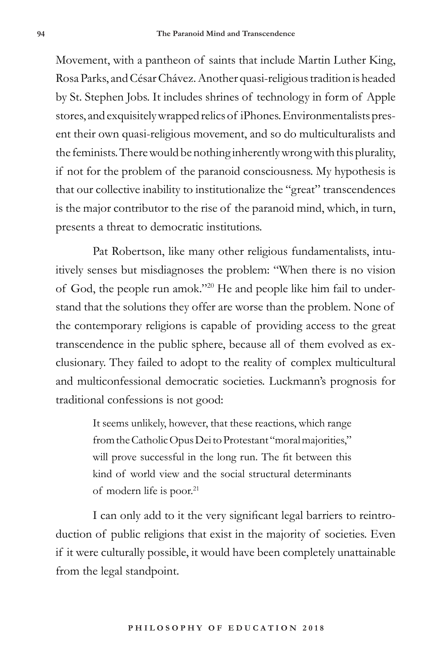Movement, with a pantheon of saints that include Martin Luther King, Rosa Parks, and César Chávez. Another quasi-religious tradition is headed by St. Stephen Jobs. It includes shrines of technology in form of Apple stores, and exquisitely wrapped relics of iPhones. Environmentalists present their own quasi-religious movement, and so do multiculturalists and the feminists. There would be nothing inherently wrong with this plurality, if not for the problem of the paranoid consciousness. My hypothesis is that our collective inability to institutionalize the "great" transcendences is the major contributor to the rise of the paranoid mind, which, in turn, presents a threat to democratic institutions.

Pat Robertson, like many other religious fundamentalists, intuitively senses but misdiagnoses the problem: "When there is no vision of God, the people run amok."20 He and people like him fail to understand that the solutions they offer are worse than the problem. None of the contemporary religions is capable of providing access to the great transcendence in the public sphere, because all of them evolved as exclusionary. They failed to adopt to the reality of complex multicultural and multiconfessional democratic societies. Luckmann's prognosis for traditional confessions is not good:

> It seems unlikely, however, that these reactions, which range from the Catholic Opus Dei to Protestant "moral majorities," will prove successful in the long run. The fit between this kind of world view and the social structural determinants of modern life is poor.<sup>21</sup>

I can only add to it the very significant legal barriers to reintroduction of public religions that exist in the majority of societies. Even if it were culturally possible, it would have been completely unattainable from the legal standpoint.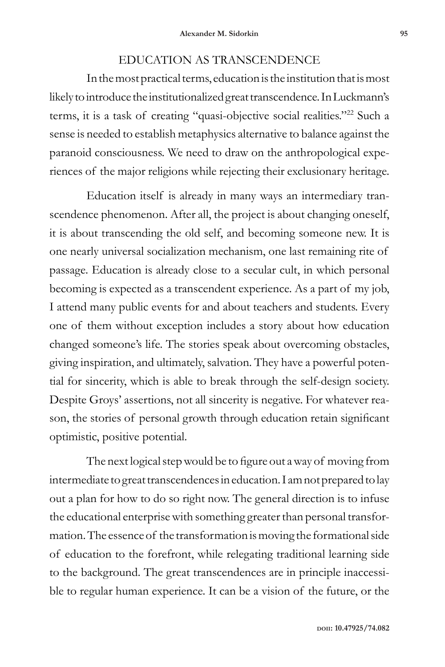## EDUCATION AS TRANSCENDENCE

In the most practical terms, education is the institution that is most likely to introduce the institutionalized great transcendence. In Luckmann's terms, it is a task of creating "quasi-objective social realities."22 Such a sense is needed to establish metaphysics alternative to balance against the paranoid consciousness. We need to draw on the anthropological experiences of the major religions while rejecting their exclusionary heritage.

Education itself is already in many ways an intermediary transcendence phenomenon. After all, the project is about changing oneself, it is about transcending the old self, and becoming someone new. It is one nearly universal socialization mechanism, one last remaining rite of passage. Education is already close to a secular cult, in which personal becoming is expected as a transcendent experience. As a part of my job, I attend many public events for and about teachers and students. Every one of them without exception includes a story about how education changed someone's life. The stories speak about overcoming obstacles, giving inspiration, and ultimately, salvation. They have a powerful potential for sincerity, which is able to break through the self-design society. Despite Groys' assertions, not all sincerity is negative. For whatever reason, the stories of personal growth through education retain significant optimistic, positive potential.

The next logical step would be to figure out a way of moving from intermediate to great transcendences in education. I am not prepared to lay out a plan for how to do so right now. The general direction is to infuse the educational enterprise with something greater than personal transformation. The essence of the transformation is moving the formational side of education to the forefront, while relegating traditional learning side to the background. The great transcendences are in principle inaccessible to regular human experience. It can be a vision of the future, or the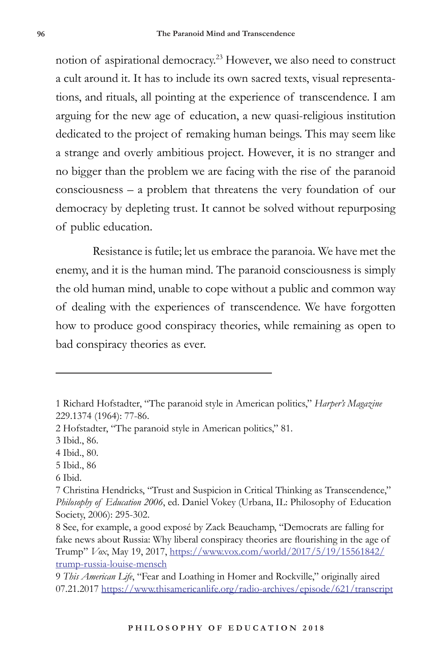notion of aspirational democracy.23 However, we also need to construct a cult around it. It has to include its own sacred texts, visual representations, and rituals, all pointing at the experience of transcendence. I am arguing for the new age of education, a new quasi-religious institution dedicated to the project of remaking human beings. This may seem like a strange and overly ambitious project. However, it is no stranger and no bigger than the problem we are facing with the rise of the paranoid consciousness – a problem that threatens the very foundation of our democracy by depleting trust. It cannot be solved without repurposing of public education.

Resistance is futile; let us embrace the paranoia. We have met the enemy, and it is the human mind. The paranoid consciousness is simply the old human mind, unable to cope without a public and common way of dealing with the experiences of transcendence. We have forgotten how to produce good conspiracy theories, while remaining as open to bad conspiracy theories as ever.

6 Ibid.

<sup>1</sup> Richard Hofstadter, "The paranoid style in American politics," *Harper's Magazine* 229.1374 (1964): 77-86.

<sup>2</sup> Hofstadter, "The paranoid style in American politics," 81.

<sup>3</sup> Ibid., 86.

<sup>4</sup> Ibid., 80.

<sup>5</sup> Ibid., 86

<sup>7</sup> Christina Hendricks, "Trust and Suspicion in Critical Thinking as Transcendence," *Philosophy of Education 2006*, ed. Daniel Vokey (Urbana, IL: Philosophy of Education Society, 2006): 295-302.

<sup>8</sup> See, for example, a good exposé by Zack Beauchamp, "Democrats are falling for fake news about Russia: Why liberal conspiracy theories are flourishing in the age of Trump" *Vox*, May 19, 2017, https://www.vox.com/world/2017/5/19/15561842/ trump-russia-louise-mensch

<sup>9</sup> *This American Life*, "Fear and Loathing in Homer and Rockville," originally aired 07.21.2017 https://www.thisamericanlife.org/radio-archives/episode/621/transcript